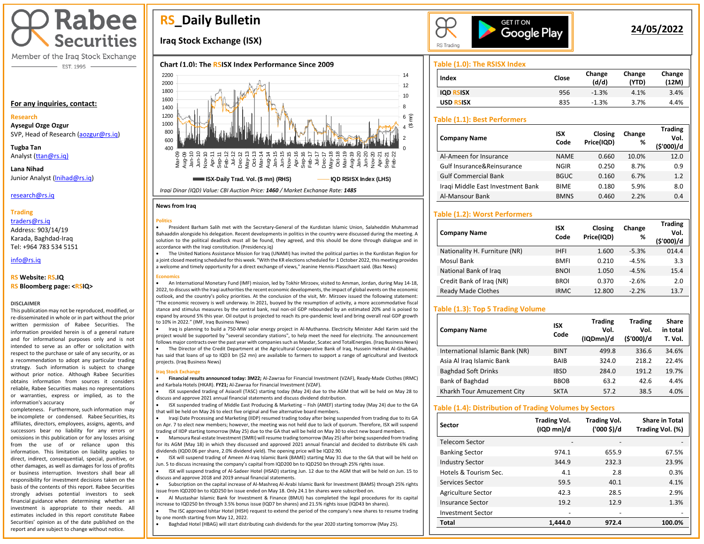

Member of the Iraq Stock Exchange - EST. 1995

#### **For any inquiries, contact:**

#### **Research**

**Aysegul Ozge Ozgur**  SVP, Head of Research [\(aozgur@rs.iq\)](mailto:aozgur@rs.iq)

**Tugba Tan** Analyst [\(ttan@rs.iq\)](mailto:ttan@rs.iq)

**Lana Nihad** Junior Analyst [\(lnihad@rs.iq\)](mailto:lnihad@rs.iq)

research@rs.iq

### **Trading**

traders@rs.iq Address: 903/14/19 Karada, Baghdad-Iraq Tel: +964 783 534 5151

info@rs.iq İ

#### **RS Website: RS.IQ**

#### **RS Bloomberg page: <RSIQ>**

#### **DISCLAIMER**

This publication may not be reproduced, modified, or re-disseminated in whole or in part without the prior written permission of Rabee Securities. The information provided herein is of a general nature and for informational purposes only and is not intended to serve as an offer or solicitation with respect to the purchase or sale of any security, or as a recommendation to adopt any particular trading strategy. Such information is subject to change without prior notice. Although Rabee Securities obtains information from sources it considers reliable, Rabee Securities makes no representations or warranties, express or implied, as to the information's accuracy

completeness. Furthermore, such information may be incomplete or condensed. Rabee Securities, its affiliates, directors, employees, assigns, agents, and successors bear no liability for any errors or omissions in this publication or for any losses arising from the use of or reliance upon this information. This limitation on liability applies to direct, indirect, consequential, special, punitive, or other damages, as well as damages for loss of profits or business interruption. Investors shall bear all responsibility for investment decisions taken on the basis of the contents of this report. Rabee Securities strongly advises potential investors to seek financial guidance when determining whether an investment is appropriate to their needs. All estimates included in this report constitute Rabee Securities' opinion as of the date published on the report and are subject to change without notice.

# **RS\_Daily Bulletin**

# **Iraq Stock Exchange (ISX)**

## **Chart (1.0): The RSISX Index Performance Since 2009**



#### **News from Iraq**

**Politics** • President Barham Salih met with the Secretary-General of the Kurdistan Islamic Union, Salaheddin Muhammad Bahaaddin alongside his delegation. Recent developments in politics in the country were discussed during the meeting. A solution to the political deadlock must all be found, they agreed, and this should be done through dialogue and in accordance with the Iraqi constitution. (Presidency.iq)

• The United Nations Assistance Mission for Iraq (UNAMI) has invited the political parties in the Kurdistan Region for a joint closed meeting scheduled for this week. "With the KR elections scheduled for 1 October 2022, this meeting provides a welcome and timely opportunity for a direct exchange of views," Jeanine Hennis-Plasschaert said. (Bas News)

#### **Economics**

• An International Monetary Fund (IMF) mission, led by Tokhir Mirzoev, visited to Amman, Jordan, during May 14-18, 2022, to discuss with the Iraqi authorities the recent economic developments, the impact of global events on the economic outlook, and the country's policy priorities. At the conclusion of the visit, Mr. Mirzoev issued the following statement: "The economic recovery is well underway. In 2021, buoyed by the resumption of activity, a more accommodative fiscal stance and stimulus measures by the central bank, real non-oil GDP rebounded by an estimated 20% and is poised to expand by around 5% this year. Oil output is projected to reach its pre-pandemic level and bring overall real GDP growth to 10% in 2022." (IMF, Iraq Business News)

• Iraq is planning to build a 750-MW solar energy project in Al-Muthanna. Electricity Minister Adel Karim said the project would be supported by "several secondary stations", to help meet the need for electricity. The announcement follows major contracts over the past year with companies such as Masdar, Scatec and TotalEnergies. (Iraq Business News)

• The Director of the Credit Department at the Agricultural Cooperative Bank of Iraq, Hussein Hekmat Al-Ghabban, has said that loans of up to IQD3 bn (\$2 mn) are available to farmers to support a range of agricultural and livestock projects. (Iraq Business News)

#### **Iraq Stock Exchange**

I

• **Financial results announced today: 3M22;** Al-Zawraa for Financial Investment (VZAF), Ready-Made Clothes (IRMC) and Karbala Hotels (HKAR). **FY21;** Al-Zawraa for Financial Investment (VZAF).

• ISX suspended trading of Asiacell (TASC) starting today (May 24) due to the AGM that will be held on May 28 to discuss and approve 2021 annual financial statements and discuss dividend distribution.

• ISX suspended trading of Middle East Producing & Marketing – Fish (AMEF) starting today (May 24) due to the GA that will be held on May 26 to elect five original and five alternative board members.

• Iraqi Date Processing and Marketing (IIDP) resumed trading today after being suspended from trading due to its GA on Apr. 7 to elect new members; however, the meeting was not held due to lack of quorum. Therefore, ISX will suspend trading of IIDP starting tomorrow (May 25) due to the GA that will be held on May 30 to elect new board members.

• Mamoura Real-estate Investment (SMRI) will resume trading tomorrow (May 25) after being suspended from trading for its AGM (May 18) in which they discussed and approved 2021 annual financial and decided to distribute 6% cash dividends (IQD0.06 per share, 2.0% dividend yield). The opening price will be IQD2.90.

• ISX will suspend trading of Ameen Al-Iraq Islamic Bank (BAME) starting May 31 due to the GA that will be held on Jun. 5 to discuss increasing the company's capital from IQD200 bn to IQD250 bn through 25% rights issue.

• ISX will suspend trading of Al-Sadeer Hotel (HSAD) starting Jun. 12 due to the AGM that will be held on Jun. 15 to

discuss and approve 2018 and 2019 annual financial statements. • Subscription on the capital increase of Al-Mashreq Al-Arabi Islamic Bank for Investment (BAMS) through 25% rights

issue from IQD200 bn to IQD250 bn issue ended on May 18. Only 24.1 bn shares were subscribed on.

• Al Mustashar Islamic Bank for Investment & Finance (BMUI) has completed the legal procedures for its capital increase to IQD250 bn through 3.5% bonus issue (IQD7 bn shares) and 21.5% rights issue (IQD43 bn shares).

• The ISC approved Ishtar Hotel (HISH) request to extend the period of the company's new shares to resume trading by one month starting from May 12, 2022.

• Baghdad Hotel (HBAG) will start distributing cash dividends for the year 2020 starting tomorrow (May 25).



# **24/05/2022**

**Trading** 

## **Table (1.0): The RSISX Index**

| Index                      | Close | Change<br>(d/d) | Change<br>(YTD) | Change<br>(12M) |
|----------------------------|-------|-----------------|-----------------|-----------------|
| <b>IOD RSISX</b>           | 956   | $-1.3%$         | 4.1%            | 3.4%            |
| <b>USD</b><br><b>RSISX</b> | 835   | $-1.3%$         | 3.7%            | 4.4%            |

## **Table (1.1): Best Performers**

| <b>Company Name</b>               | <b>ISX</b><br>Code | Closing<br>Price(IQD) | Change<br>% | <b>Trading</b><br>Vol.<br>(\$'000)/d |
|-----------------------------------|--------------------|-----------------------|-------------|--------------------------------------|
| Al-Ameen for Insurance            | <b>NAME</b>        | 0.660                 | 10.0%       | 12.0                                 |
| Gulf Insurance&Reinsurance        | <b>NGIR</b>        | 0.250                 | 8.7%        | 0.9                                  |
| <b>Gulf Commercial Bank</b>       | <b>BGUC</b>        | 0.160                 | 6.7%        | 1.2                                  |
| Iragi Middle East Investment Bank | <b>BIME</b>        | 0.180                 | 5.9%        | 8.0                                  |
| Al-Mansour Bank                   | <b>BMNS</b>        | 0.460                 | 2.2%        | 0.4                                  |

## **Table (1.2): Worst Performers**

| <b>Company Name</b>           | <b>ISX</b><br>Code | Closing<br>Price(IQD) | Change<br>% | Trading<br>Vol.<br>(\$'000)/d |
|-------------------------------|--------------------|-----------------------|-------------|-------------------------------|
| Nationality H. Furniture (NR) | <b>IHFI</b>        | 1.600                 | $-5.3%$     | 014.4                         |
| Mosul Bank                    | <b>BMFI</b>        | 0.210                 | $-4.5%$     | 3.3                           |
| National Bank of Iraq         | <b>BNOI</b>        | 1.050                 | $-4.5%$     | 15.4                          |
| Credit Bank of Iraq (NR)      | <b>BROI</b>        | 0.370                 | $-2.6%$     | 2.0                           |
| <b>Ready Made Clothes</b>     | <b>IRMC</b>        | 12.800                | $-2.2%$     | 13.7                          |

## **Table (1.3): Top 5 Trading Volume**

| <b>Company Name</b>             | <b>ISX</b><br>Code | <b>Trading</b><br>Vol.<br>(IQDmn)/d | <b>Trading</b><br>Vol.<br>(\$'000)/d | Share<br>in total<br>T. Vol. |
|---------------------------------|--------------------|-------------------------------------|--------------------------------------|------------------------------|
| International Islamic Bank (NR) | <b>BINT</b>        | 499.8                               | 336.6                                | 34.6%                        |
| Asia Al Iraq Islamic Bank       | BAIB               | 324.0                               | 218.2                                | 22.4%                        |
| <b>Baghdad Soft Drinks</b>      | <b>IBSD</b>        | 284.0                               | 191.2                                | 19.7%                        |
| Bank of Baghdad                 | <b>BBOB</b>        | 63.2                                | 42.6                                 | 4.4%                         |
| Kharkh Tour Amuzement City      | <b>SKTA</b>        | 57.2                                | 38.5                                 | 4.0%                         |

#### **Table (1.4): Distribution of Trading Volumes by Sectors**

| Sector                   | <b>Trading Vol.</b><br>(IQD mn)/d | <b>Trading Vol.</b><br>('000 \$)/d | <b>Share in Total</b><br>Trading Vol. (%) |
|--------------------------|-----------------------------------|------------------------------------|-------------------------------------------|
| Telecom Sector           |                                   |                                    |                                           |
| <b>Banking Sector</b>    | 974.1                             | 655.9                              | 67.5%                                     |
| <b>Industry Sector</b>   | 344.9                             | 232.3                              | 23.9%                                     |
| Hotels & Tourism Sec.    | 4.1                               | 2.8                                | 0.3%                                      |
| Services Sector          | 59.5                              | 40.1                               | 4.1%                                      |
| Agriculture Sector       | 42.3                              | 28.5                               | 2.9%                                      |
| <b>Insurance Sector</b>  | 19.2                              | 12.9                               | 1.3%                                      |
| <b>Investment Sector</b> | -                                 |                                    |                                           |
| <b>Total</b>             | 1.444.0                           | 972.4                              | 100.0%                                    |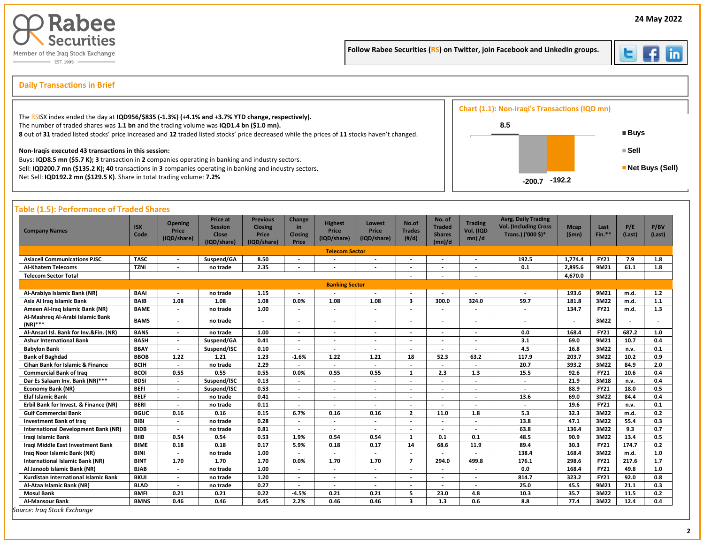

Follow Rabee Securities (RS) on Twitter, join Facebook and LinkedIn groups.



İ

# s **Daily Transactions in Brief**

|                                                                                                                                                                                                                | Chart (1.1): Non-Iraqi's Transactions (IQD mn) |                                |
|----------------------------------------------------------------------------------------------------------------------------------------------------------------------------------------------------------------|------------------------------------------------|--------------------------------|
| The RSISX index ended the day at IQD956/\$835 (-1.3%) (+4.1% and +3.7% YTD change, respectively).<br>The number of traded shares was 1.1 bn and the trading volume was IQD1.4 bn (\$1.0 mn).                   | 8.5                                            |                                |
| 8 out of 31 traded listed stocks' price increased and 12 traded listed stocks' price decreased while the prices of 11 stocks haven't changed.                                                                  |                                                | ■ Buys                         |
| Non-Iragis executed 43 transactions in this session:                                                                                                                                                           |                                                | ≡ Sell                         |
| Buys: IQD8.5 mn (\$5.7 K); 3 transaction in 2 companies operating in banking and industry sectors.<br>Sell: IQD200.7 mn (\$135.2 K); 40 transactions in 3 companies operating in banking and industry sectors. |                                                | $\blacksquare$ Net Buys (Sell) |
| Net Sell: IQD192.2 mn (\$129.5 K). Share in total trading volume: 7.2%                                                                                                                                         | -192.2                                         |                                |

| <b>Company Names</b>                           | <b>ISX</b><br>Code | <b>Opening</b><br>Price<br>(IQD/share) | Price at<br><b>Session</b><br><b>Close</b><br>(IQD/share) | <b>Previous</b><br><b>Closing</b><br>Price<br>(IQD/share) | Change<br>in<br><b>Closing</b><br>Price | <b>Highest</b><br>Price<br>(IQD/share) | Lowest<br>Price<br>(IQD/share) | No.of<br><b>Trades</b><br>(H/d) | No. of<br><b>Traded</b><br><b>Shares</b><br>(mn)/d | <b>Trading</b><br>Vol. (IQD<br>$mn)$ /d | <b>Avrg. Daily Trading</b><br><b>Vol. (Including Cross</b><br>Trans.) ('000 \$)* | <b>Mcap</b><br>(Smn)     | Last<br>$Fin.**$ | P/E<br>(Last) | P/BV<br>(Last) |
|------------------------------------------------|--------------------|----------------------------------------|-----------------------------------------------------------|-----------------------------------------------------------|-----------------------------------------|----------------------------------------|--------------------------------|---------------------------------|----------------------------------------------------|-----------------------------------------|----------------------------------------------------------------------------------|--------------------------|------------------|---------------|----------------|
|                                                |                    |                                        |                                                           |                                                           |                                         | <b>Telecom Sector</b>                  |                                |                                 |                                                    |                                         |                                                                                  |                          |                  |               |                |
| <b>Asiacell Communications PJSC</b>            | <b>TASC</b>        | $\overline{\phantom{a}}$               | Suspend/GA                                                | 8.50                                                      |                                         |                                        |                                |                                 |                                                    | $\overline{\phantom{a}}$                | 192.5                                                                            | 1,774.4                  | <b>FY21</b>      | 7.9           | 1.8            |
| <b>Al-Khatem Telecoms</b>                      | <b>TZNI</b>        |                                        | no trade                                                  | 2.35                                                      |                                         |                                        |                                | $\overline{\phantom{a}}$        |                                                    |                                         | 0.1                                                                              | 2,895.6                  | 9M21             | 61.1          | 1.8            |
| <b>Telecom Sector Total</b>                    |                    |                                        |                                                           |                                                           |                                         |                                        |                                |                                 |                                                    |                                         |                                                                                  | 4.670.0                  |                  |               |                |
|                                                |                    |                                        |                                                           |                                                           |                                         | <b>Banking Sector</b>                  |                                |                                 |                                                    |                                         |                                                                                  |                          |                  |               |                |
| Al-Arabiya Islamic Bank (NR)                   | <b>BAAI</b>        | $\overline{\phantom{a}}$               | no trade                                                  | 1.15                                                      | $\overline{\phantom{a}}$                | $\overline{\phantom{a}}$               |                                |                                 |                                                    | $\overline{\phantom{a}}$                | $\overline{\phantom{a}}$                                                         | 193.6                    | 9M21             | m.d.          | 1.2            |
| Asia Al Iraq Islamic Bank                      | <b>BAIB</b>        | 1.08                                   | 1.08                                                      | 1.08                                                      | 0.0%                                    | 1.08                                   | 1.08                           | $\mathbf{3}$                    | 300.0                                              | 324.0                                   | 59.7                                                                             | 181.8                    | 3M22             | m.d.          | 1.1            |
| Ameen Al-Iraq Islamic Bank (NR)                | <b>BAME</b>        | $\overline{\phantom{a}}$               | no trade                                                  | 1.00                                                      |                                         | $\overline{\phantom{a}}$               |                                | $\overline{\phantom{a}}$        |                                                    | $\overline{\phantom{a}}$                | $\overline{\phantom{a}}$                                                         | 134.7                    | <b>FY21</b>      | m.d.          | 1.3            |
| Al-Mashreg Al-Arabi Islamic Bank<br>$(NR)$ *** | <b>BAMS</b>        | $\overline{\phantom{a}}$               | no trade                                                  |                                                           |                                         | $\overline{\phantom{a}}$               |                                | $\overline{\phantom{a}}$        | $\overline{\phantom{a}}$                           | $\overline{\phantom{a}}$                | $\overline{a}$                                                                   | $\overline{\phantom{a}}$ | 3M22             |               |                |
| Al-Ansari Isl. Bank for Inv.&Fin. (NR)         | <b>BANS</b>        | $\overline{\phantom{a}}$               | no trade                                                  | 1.00                                                      | $\overline{\phantom{0}}$                | $\overline{\phantom{a}}$               | $\overline{\phantom{a}}$       | $\overline{\phantom{a}}$        | $\overline{\phantom{a}}$                           | $\overline{\phantom{a}}$                | 0.0                                                                              | 168.4                    | <b>FY21</b>      | 687.2         | 1.0            |
| <b>Ashur International Bank</b>                | <b>BASH</b>        | $\overline{\phantom{a}}$               | Suspend/GA                                                | 0.41                                                      | $\overline{a}$                          | $\overline{\phantom{a}}$               | $\overline{\phantom{a}}$       | $\overline{a}$                  | $\overline{\phantom{a}}$                           | $\overline{\phantom{a}}$                | 3.1                                                                              | 69.0                     | 9M21             | 10.7          | 0.4            |
| <b>Babylon Bank</b>                            | <b>BBAY</b>        | $\overline{\phantom{a}}$               | Suspend/ISC                                               | 0.10                                                      |                                         | $\overline{\phantom{a}}$               |                                |                                 |                                                    |                                         | 4.5                                                                              | 16.8                     | 3M22             | n.v.          | 0.1            |
| <b>Bank of Baghdad</b>                         | <b>BBOB</b>        | 1.22                                   | 1.21                                                      | 1.23                                                      | $-1.6%$                                 | 1.22                                   | 1.21                           | 18                              | 52.3                                               | 63.2                                    | 117.9                                                                            | 203.7                    | 3M22             | 10.2          | 0.9            |
| <b>Cihan Bank for Islamic &amp; Finance</b>    | <b>BCIH</b>        | $\sim$                                 | no trade                                                  | 2.29                                                      | $\overline{\phantom{a}}$                | $\overline{\phantom{a}}$               | $\overline{\phantom{a}}$       | $\overline{\phantom{a}}$        | $\overline{\phantom{a}}$                           | $\overline{\phantom{a}}$                | 20.7                                                                             | 393.2                    | 3M22             | 84.9          | 2.0            |
| <b>Commercial Bank of Iraq</b>                 | <b>BCOI</b>        | 0.55                                   | 0.55                                                      | 0.55                                                      | 0.0%                                    | 0.55                                   | 0.55                           | 1                               | 2.3                                                | 1.3                                     | 15.5                                                                             | 92.6                     | <b>FY21</b>      | 10.6          | 0.4            |
| Dar Es Salaam Inv. Bank (NR)***                | <b>BDSI</b>        | $\overline{\phantom{a}}$               | Suspend/ISC                                               | 0.13                                                      |                                         | $\overline{\phantom{a}}$               | $\overline{\phantom{a}}$       | $\overline{\phantom{a}}$        |                                                    | $\overline{\phantom{a}}$                | $\overline{\phantom{a}}$                                                         | 21.9                     | 3M18             | n.v.          | 0.4            |
| <b>Economy Bank (NR)</b>                       | <b>BEFI</b>        | $\overline{\phantom{a}}$               | Suspend/ISC                                               | 0.53                                                      |                                         | $\overline{\phantom{a}}$               | $\overline{\phantom{a}}$       | $\overline{\phantom{a}}$        | $\overline{\phantom{a}}$                           | $\overline{\phantom{a}}$                | $\overline{\phantom{a}}$                                                         | 88.9                     | <b>FY21</b>      | 18.0          | 0.5            |
| <b>Elaf Islamic Bank</b>                       | <b>BELF</b>        | $\overline{\phantom{a}}$               | no trade                                                  | 0.41                                                      |                                         | $\overline{\phantom{a}}$               | $\overline{\phantom{a}}$       | $\overline{\phantom{a}}$        | ٠.                                                 | $\overline{\phantom{a}}$                | 13.6                                                                             | 69.0                     | 3M22             | 84.4          | 0.4            |
| Erbil Bank for Invest. & Finance (NR)          | <b>BERI</b>        | $\overline{\phantom{a}}$               | no trade                                                  | 0.11                                                      | $\overline{\phantom{a}}$                | $\overline{\phantom{a}}$               | $\overline{\phantom{a}}$       | $\overline{\phantom{a}}$        | $\overline{\phantom{a}}$                           | $\overline{\phantom{a}}$                | $\overline{\phantom{a}}$                                                         | 19.6                     | <b>FY21</b>      | n.v.          | 0.1            |
| <b>Gulf Commercial Bank</b>                    | <b>BGUC</b>        | 0.16                                   | 0.16                                                      | 0.15                                                      | 6.7%                                    | 0.16                                   | 0.16                           | $\overline{2}$                  | 11.0                                               | 1.8                                     | 5.3                                                                              | 32.3                     | 3M22             | m.d.          | 0.2            |
| <b>Investment Bank of Iraq</b>                 | <b>BIBI</b>        | $\overline{\phantom{a}}$               | no trade                                                  | 0.28                                                      |                                         |                                        |                                | $\overline{\phantom{a}}$        |                                                    |                                         | 13.8                                                                             | 47.1                     | 3M22             | 55.4          | 0.3            |
| <b>International Development Bank (NR)</b>     | <b>BIDB</b>        | $\overline{\phantom{a}}$               | no trade                                                  | 0.81                                                      | $\overline{\phantom{a}}$                | $\overline{\phantom{a}}$               | $\overline{\phantom{a}}$       | $\overline{a}$                  | $\overline{a}$                                     | $\overline{\phantom{a}}$                | 63.8                                                                             | 136.4                    | 3M22             | 9.3           | 0.7            |
| Iragi Islamic Bank                             | <b>BIIB</b>        | 0.54                                   | 0.54                                                      | 0.53                                                      | 1.9%                                    | 0.54                                   | 0.54                           | 1                               | 0.1                                                | 0.1                                     | 48.5                                                                             | 90.9                     | 3M22             | 13.4          | 0.5            |
| Iraqi Middle East Investment Bank              | <b>BIME</b>        | 0.18                                   | 0.18                                                      | 0.17                                                      | 5.9%                                    | 0.18                                   | 0.17                           | 14                              | 68.6                                               | 11.9                                    | 89.4                                                                             | 30.3                     | <b>FY21</b>      | 174.7         | 0.2            |
| Iraq Noor Islamic Bank (NR)                    | <b>BINI</b>        | $\overline{\phantom{a}}$               | no trade                                                  | 1.00                                                      | $\overline{\phantom{a}}$                | $\overline{\phantom{a}}$               | $\overline{\phantom{a}}$       | $\overline{\phantom{0}}$        | $\overline{\phantom{a}}$                           | $\overline{\phantom{a}}$                | 138.4                                                                            | 168.4                    | 3M22             | m.d.          | 1.0            |
| <b>International Islamic Bank (NR)</b>         | <b>BINT</b>        | 1.70                                   | 1.70                                                      | 1.70                                                      | 0.0%                                    | 1.70                                   | 1.70                           | $\overline{7}$                  | 294.0                                              | 499.8                                   | 176.1                                                                            | 298.6                    | <b>FY21</b>      | 217.6         | 1.7            |
| Al Janoob Islamic Bank (NR)                    | <b>BJAB</b>        | $\overline{\phantom{a}}$               | no trade                                                  | 1.00                                                      | $\overline{\phantom{0}}$                | $\overline{\phantom{a}}$               | $\overline{\phantom{0}}$       | $\overline{\phantom{a}}$        | $\overline{\phantom{a}}$                           | $\overline{\phantom{a}}$                | 0.0                                                                              | 168.4                    | <b>FY21</b>      | 49.8          | 1.0            |
| Kurdistan International Islamic Bank           | <b>BKUI</b>        | $\overline{\phantom{a}}$               | no trade                                                  | 1.20                                                      |                                         | $\overline{\phantom{a}}$               | $\overline{\phantom{a}}$       | $\overline{\phantom{a}}$        |                                                    | $\overline{\phantom{a}}$                | 814.7                                                                            | 323.2                    | <b>FY21</b>      | 92.0          | 0.8            |
| Al-Ataa Islamic Bank (NR)                      | <b>BLAD</b>        | $\blacksquare$                         | no trade                                                  | 0.27                                                      |                                         | $\overline{\phantom{a}}$               |                                |                                 |                                                    | $\overline{\phantom{0}}$                | 25.0                                                                             | 45.5                     | 9M21             | 21.1          | 0.3            |
| <b>Mosul Bank</b>                              | <b>BMFI</b>        | 0.21                                   | 0.21                                                      | 0.22                                                      | $-4.5%$                                 | 0.21                                   | 0.21                           | 5                               | 23.0                                               | 4.8                                     | 10.3                                                                             | 35.7                     | 3M22             | 11.5          | 0.2            |
| <b>Al-Mansour Bank</b>                         | <b>BMNS</b>        | 0.46                                   | 0.46                                                      | 0.45                                                      | 2.2%                                    | 0.46                                   | 0.46                           | 3                               | 1.3                                                | 0.6                                     | 8.8                                                                              | 77.4                     | 3M22             | 12.4          | 0.4            |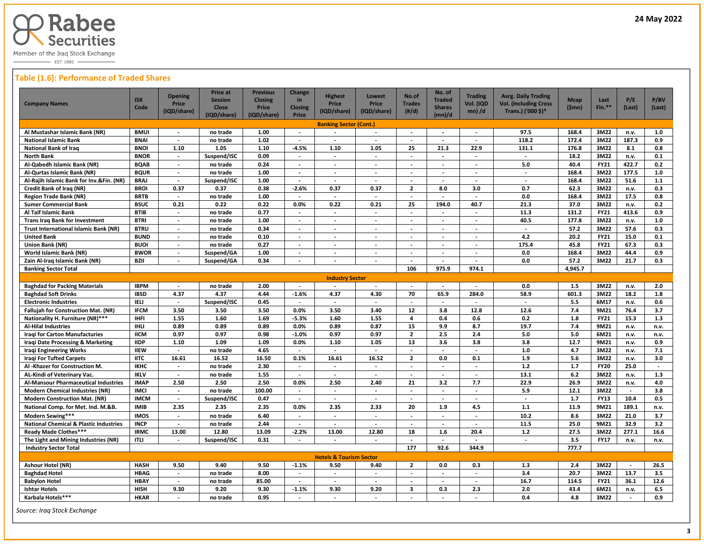

 $-$  EST. 1995  $-$ 

## **Table (1.6): Performance of Traded Shares**

| Al Mustashar Islamic Bank (NR)<br><b>BMUI</b>       |             | (IQD/share)              |             |             | <b>Closing</b>           |                                    | Price                    | <b>Trades</b>            | <b>Shares</b>            | Vol. (IQD                | <b>Vol. (Including Cross</b> | (Smn)   | $Fin.**$    | (Last)                   | P/BV<br>(Last) |
|-----------------------------------------------------|-------------|--------------------------|-------------|-------------|--------------------------|------------------------------------|--------------------------|--------------------------|--------------------------|--------------------------|------------------------------|---------|-------------|--------------------------|----------------|
|                                                     |             |                          | (IQD/share) | (IQD/share) | Price                    | (IQD/share)                        | (IQD/share)              | $(\#/d)$                 | (mn)/d                   | $mn)$ /d                 | Trans.) ('000 \$)*           |         |             |                          |                |
|                                                     |             |                          |             |             |                          | <b>Banking Sector (Cont.)</b>      |                          |                          |                          |                          |                              |         |             |                          |                |
|                                                     |             |                          | no trade    | 1.00        | $\overline{\phantom{a}}$ |                                    |                          |                          |                          |                          | 97.5                         | 168.4   | 3M22        | n.v.                     | 1.0            |
| <b>National Islamic Bank</b>                        | <b>BNAI</b> | $\blacksquare$           | no trade    | 1.02        |                          |                                    | $\overline{\phantom{a}}$ |                          |                          | $\overline{\phantom{a}}$ | 118.2                        | 172.4   | 3M22        | 187.3                    | 0.9            |
| <b>National Bank of Iraq</b>                        | <b>BNOI</b> | 1.10                     | 1.05        | 1.10        | $-4.5%$                  | 1.10                               | 1.05                     | 25                       | 21.3                     | 22.9                     | 131.1                        | 176.8   | 3M22        | 8.1                      | 0.8            |
| North Bank                                          | <b>BNOR</b> | $\overline{\phantom{a}}$ | Suspend/ISC | 0.09        | $\sim$                   | $\blacksquare$                     | $\overline{\phantom{a}}$ | $\sim$                   | $\overline{\phantom{a}}$ | $\overline{\phantom{a}}$ | $\sim$                       | 18.2    | 3M22        | n.v.                     | 0.1            |
| Al-Qabedh Islamic Bank (NR)                         | <b>BQAB</b> | $\overline{\phantom{a}}$ | no trade    | 0.24        | $\sim$                   | $\blacksquare$                     | $\sim$                   | $\overline{\phantom{a}}$ | $\overline{\phantom{a}}$ | $\overline{\phantom{a}}$ | 5.0                          | 40.4    | <b>FY21</b> | 422.7                    | 0.2            |
| Al-Qurtas Islamic Bank (NR)                         | <b>BQUR</b> | $\overline{\phantom{a}}$ | no trade    | 1.00        | $\overline{\phantom{a}}$ | $\overline{\phantom{a}}$           | $\overline{\phantom{a}}$ | $\overline{\phantom{a}}$ | $\overline{\phantom{a}}$ | $\overline{\phantom{a}}$ | $\sim$                       | 168.4   | 3M22        | 177.5                    | 1.0            |
| Al-Rajih Islamic Bank for Inv.&Fin. (NR)            | <b>BRAJ</b> | $\overline{\phantom{a}}$ | Suspend/ISC | 1.00        | $\overline{\phantom{a}}$ | $\overline{\phantom{a}}$           | $\overline{\phantom{a}}$ | $\blacksquare$           | $\overline{\phantom{a}}$ | $\overline{\phantom{a}}$ | $\overline{a}$               | 168.4   | 3M22        | 51.6                     | 1.1            |
| Credit Bank of Iraq (NR)                            | <b>BROI</b> | 0.37                     | 0.37        | 0.38        | $-2.6%$                  | 0.37                               | 0.37                     | $\overline{2}$           | 8.0                      | 3.0                      | 0.7                          | 62.3    | 3M22        | n.v.                     | 0.3            |
| <b>Region Trade Bank (NR)</b>                       | <b>BRTB</b> | $\blacksquare$           | no trade    | 1.00        |                          | $\blacksquare$                     | $\overline{\phantom{a}}$ |                          |                          |                          | 0.0                          | 168.4   | 3M22        | 17.5                     | 0.8            |
| Sumer Commercial Bank                               | <b>BSUC</b> | 0.21                     | 0.22        | 0.22        | 0.0%                     | 0.22                               | 0.21                     | 25                       | 194.0                    | 40.7                     | 21.3                         | 37.0    | 3M22        | n.v.                     | 0.2            |
| Al Taif Islamic Bank                                | <b>BTIB</b> | $\overline{\phantom{a}}$ | no trade    | 0.77        |                          | $\blacksquare$                     | $\overline{\phantom{a}}$ | $\overline{a}$           |                          |                          | 11.3                         | 131.2   | <b>FY21</b> | 413.6                    | 0.9            |
| <b>Trans Iraq Bank for Investment</b>               | <b>BTRI</b> | $\overline{\phantom{a}}$ | no trade    | 1.00        | $\sim$                   | $\overline{\phantom{a}}$           | $\overline{\phantom{a}}$ | $\overline{\phantom{a}}$ | $\sim$                   | $\overline{a}$           | 40.5                         | 177.8   | 3M22        | n.v.                     | 1.0            |
| Trust International Islamic Bank (NR)               | <b>BTRU</b> | $\overline{\phantom{a}}$ | no trade    | 0.34        | $\blacksquare$           | $\overline{\phantom{a}}$           | $\overline{\phantom{a}}$ | $\overline{\phantom{a}}$ | $\overline{\phantom{a}}$ | $\overline{\phantom{a}}$ | $\sim$                       | 57.2    | 3M22        | 57.6                     | 0.3            |
| <b>United Bank</b>                                  | <b>BUND</b> | $\overline{\phantom{a}}$ | no trade    | 0.10        | $\blacksquare$           | $\overline{\phantom{a}}$           | $\overline{\phantom{a}}$ | $\overline{\phantom{a}}$ | $\blacksquare$           | $\overline{\phantom{a}}$ | 4.2                          | 20.2    | <b>FY21</b> | 15.0                     | 0.1            |
| Union Bank (NR)                                     | <b>BUOI</b> | $\overline{\phantom{a}}$ | no trade    | 0.27        | $\overline{\phantom{a}}$ | $\overline{\phantom{a}}$           | $\overline{\phantom{a}}$ | $\overline{\phantom{a}}$ | $\overline{\phantom{a}}$ | $\overline{\phantom{a}}$ | 175.4                        | 45.8    | <b>FY21</b> | 67.3                     | 0.3            |
| World Islamic Bank (NR)                             | <b>BWOR</b> | $\overline{\phantom{a}}$ | Suspend/GA  | 1.00        | $\sim$                   | $\overline{\phantom{a}}$           | $\overline{\phantom{a}}$ | $\overline{\phantom{a}}$ | $\overline{\phantom{a}}$ | $\overline{\phantom{a}}$ | 0.0                          | 168.4   | 3M22        | 44.4                     | 0.9            |
| <b>BZII</b><br>Zain Al-Iraq Islamic Bank (NR)       |             | $\blacksquare$           | Suspend/GA  | 0.34        |                          |                                    |                          |                          |                          |                          | 0.0                          | 57.2    | 3M22        | 21.7                     | 0.3            |
| <b>Banking Sector Total</b>                         |             |                          |             |             |                          |                                    |                          | 106                      | 975.9                    | 974.1                    |                              | 4,945.7 |             |                          |                |
|                                                     |             |                          |             |             |                          | <b>Industry Sector</b>             |                          |                          |                          |                          |                              |         |             |                          |                |
| <b>Baghdad for Packing Materials</b>                | <b>IBPM</b> | $\overline{\phantom{a}}$ | no trade    | 2.00        | $\overline{\phantom{a}}$ | $\overline{\phantom{a}}$           | $\overline{\phantom{a}}$ | $\overline{\phantom{a}}$ | $\overline{\phantom{a}}$ | $\overline{\phantom{a}}$ | 0.0                          | 1.5     | 3M22        | n.v.                     | 2.0            |
| <b>Baghdad Soft Drinks</b>                          | <b>IBSD</b> | 4.37                     | 4.37        | 4.44        | $-1.6%$                  | 4.37                               | 4.30                     | 70                       | 65.9                     | 284.0                    | 58.9                         | 601.3   | 3M22        | 18.2                     | 1.8            |
| IELI<br><b>Electronic Industries</b>                |             | $\blacksquare$           | Suspend/ISC | 0.45        | $\blacksquare$           | $\overline{\phantom{a}}$           | $\blacksquare$           |                          |                          |                          | $\overline{\phantom{a}}$     | 5.5     | 6M17        | n.v.                     | 0.6            |
| Fallujah for Construction Mat. (NR)                 | <b>IFCM</b> | 3.50                     | 3.50        | 3.50        | 0.0%                     | 3.50                               | 3.40                     | 12                       | 3.8                      | 12.8                     | 12.6                         | 7.4     | 9M21        | 76.4                     | 3.7            |
| Nationality H. Furniture (NR)***<br><b>IHFI</b>     |             | 1.55                     | 1.60        | 1.69        | $-5.3%$                  | 1.60                               | 1.55                     | $\overline{4}$           | 0.4                      | 0.6                      | 0.2                          | 1.8     | <b>FY21</b> | 15.3                     | 1.3            |
| Al-Hilal Industries                                 | IHLI        | 0.89                     | 0.89        | 0.89        | 0.0%                     | 0.89                               | 0.87                     | 15                       | 9.9                      | 8.7                      | 19.7                         | 7.4     | 9M21        | n.v.                     | n.v.           |
| Iragi for Carton Manufacturies                      | <b>IICM</b> | 0.97                     | 0.97        | 0.98        | $-1.0%$                  | 0.97                               | 0.97                     | $\overline{2}$           | 2.5                      | 2.4                      | 5.0                          | 5.0     | 6M21        | n.v.                     | n.v.           |
| Iraqi Date Processing & Marketing                   | <b>IIDP</b> | 1.10                     | 1.09        | 1.09        | 0.0%                     | 1.10                               | 1.05                     | 13                       | 3.6                      | 3.8                      | 3.8                          | 12.7    | 9M21        | n.v.                     | 0.9            |
| Iraqi Engineering Works                             | <b>IIEW</b> | $\blacksquare$           | no trade    | 4.65        | $\overline{\phantom{a}}$ | $\sim$                             | $\overline{\phantom{a}}$ | $\overline{\phantom{a}}$ | $\sim$                   | $\overline{\phantom{a}}$ | 1.0                          | 4.7     | 3M22        | n.v.                     | 7.1            |
| <b>Iragi For Tufted Carpets</b>                     | <b>IITC</b> | 16.61                    | 16.52       | 16.50       | 0.1%                     | 16.61                              | 16.52                    | $\overline{2}$           | 0.0                      | 0.1                      | 1.9                          | 5.6     | 3M22        | n.v.                     | 3.0            |
| Al -Khazer for Construction M.                      | <b>IKHC</b> | $\overline{\phantom{a}}$ | no trade    | 2.30        |                          | $\overline{\phantom{a}}$           | $\overline{\phantom{a}}$ |                          | $\overline{\phantom{a}}$ | $\overline{\phantom{a}}$ | $1.2$                        | 1.7     | <b>FY20</b> | 25.0                     |                |
| AL-Kindi of Veterinary Vac.                         | <b>IKLV</b> | $\blacksquare$           | no trade    | 1.55        | $\overline{\phantom{a}}$ | $\overline{\phantom{a}}$           | $\overline{a}$           |                          | $\overline{\phantom{a}}$ | $\overline{\phantom{a}}$ | 13.1                         | 6.2     | 3M22        | n.v.                     | 1.3            |
| Al-Mansour Pharmaceutical Industries                | <b>IMAP</b> | 2.50                     | 2.50        | 2.50        | 0.0%                     | 2.50                               | 2.40                     | 21                       | 3.2                      | 7.7                      | 22.9                         | 26.9    | 3M22        | n.v.                     | 4.0            |
| <b>Modern Chemical Industries (NR)</b>              | <b>IMCI</b> | $\overline{\phantom{a}}$ | no trade    | 100.00      | $\sim$                   | $\overline{\phantom{a}}$           | $\overline{\phantom{a}}$ | $\overline{\phantom{a}}$ | $\sim$                   | $\blacksquare$           | 5.9                          | 12.1    | 3M22        | $\overline{\phantom{a}}$ | 3.8            |
| <b>Modern Construction Mat. (NR)</b>                | <b>IMCM</b> | $\overline{\phantom{a}}$ | Suspend/ISC | 0.47        | $\overline{\phantom{a}}$ | $\overline{\phantom{a}}$           | $\overline{\phantom{a}}$ | $\overline{\phantom{a}}$ | $\overline{\phantom{a}}$ | $\overline{\phantom{a}}$ | $\sim$                       | 1.7     | <b>FY13</b> | 10.4                     | 0.5            |
| National Comp. for Met. Ind. M.&B.                  | <b>IMIB</b> | 2.35                     | 2.35        | 2.35        | 0.0%                     | 2.35                               | 2.33                     | 20                       | 1.9                      | 4.5                      | 1.1                          | 11.9    | 9M21        | 189.1                    | n.v.           |
| Modern Sewing***                                    | <b>IMOS</b> | $\sim$                   | no trade    | 6.40        | $\mathcal{L}$            | $\overline{\phantom{a}}$           | $\sim$                   | $\sim$                   | $\sim$                   | $\blacksquare$           | 10.2                         | 8.6     | 3M22        | 21.0                     | 3.7            |
| <b>National Chemical &amp; Plastic Industries</b>   | <b>INCP</b> | $\overline{\phantom{a}}$ | no trade    | 2.44        | $\overline{\phantom{a}}$ | $\overline{\phantom{a}}$           | $\overline{\phantom{a}}$ | $\sim$                   | $\overline{\phantom{a}}$ | $\overline{\phantom{a}}$ | 11.5                         | 25.0    | 9M21        | 32.9                     | 3.2            |
| Ready Made Clothes***                               | <b>IRMC</b> | 13.00                    | 12.80       | 13.09       | $-2.2%$                  | 13.00                              | 12.80                    | 18                       | 1.6                      | 20.4                     | $1.2$                        | 27.5    | 3M22        | 277.1                    | 16.6           |
| The Light and Mining Industries (NR)<br><b>ITLI</b> |             | $\overline{a}$           | Suspend/ISC | 0.31        | $\overline{\phantom{a}}$ | $\overline{\phantom{a}}$           | $\overline{\phantom{a}}$ | $\blacksquare$           | $\overline{\phantom{a}}$ |                          | $\overline{\phantom{a}}$     | 3.5     | <b>FY17</b> | n.v.                     | n.v.           |
| <b>Industry Sector Total</b>                        |             |                          |             |             |                          |                                    |                          | 177                      | 92.6                     | 344.9                    |                              | 777.7   |             |                          |                |
|                                                     |             |                          |             |             |                          | <b>Hotels &amp; Tourism Sector</b> |                          |                          |                          |                          |                              |         |             |                          |                |
| Ashour Hotel (NR)                                   | <b>HASH</b> | 9.50                     | 9.40        | 9.50        | $-1.1%$                  | 9.50                               | 9.40                     | $\overline{2}$           | 0.0                      | 0.3                      | 1.3                          | 2.4     | 3M22        | $\overline{\phantom{a}}$ | 26.5           |
| <b>Baghdad Hotel</b>                                | <b>HBAG</b> | $\overline{\phantom{a}}$ | no trade    | 8.00        | $\overline{\phantom{a}}$ | $\overline{\phantom{a}}$           | $\overline{\phantom{a}}$ | $\blacksquare$           | $\overline{\phantom{a}}$ | $\overline{\phantom{a}}$ | 3.4                          | 20.7    | 3M22        | 13.7                     | 3.5            |
| <b>Babylon Hotel</b>                                | <b>HBAY</b> | $\blacksquare$           | no trade    | 85.00       | $\sim$                   | $\blacksquare$                     | $\overline{a}$           | $\overline{\phantom{a}}$ | $\overline{\phantom{a}}$ | $\overline{\phantom{a}}$ | 16.7                         | 114.5   | <b>FY21</b> | 36.1                     | 12.6           |
| <b>Ishtar Hotels</b>                                | <b>HISH</b> | 9.30                     | 9.20        | 9.30        | $-1.1%$                  | 9.30                               | 9.20                     | 3                        | 0.3                      | 2.3                      | 2.0                          | 43.4    | 6M21        | n.v.                     | 6.5            |
| Karbala Hotels***                                   | <b>HKAR</b> |                          | no trade    | 0.95        | $\sim$                   | $\overline{\phantom{a}}$           |                          |                          |                          |                          | 0.4                          | 4.8     | 3M22        | $\mathbb{Z}^2$           | 0.9            |

 *Source: Iraq Stock Exchange*

 $\overline{a}$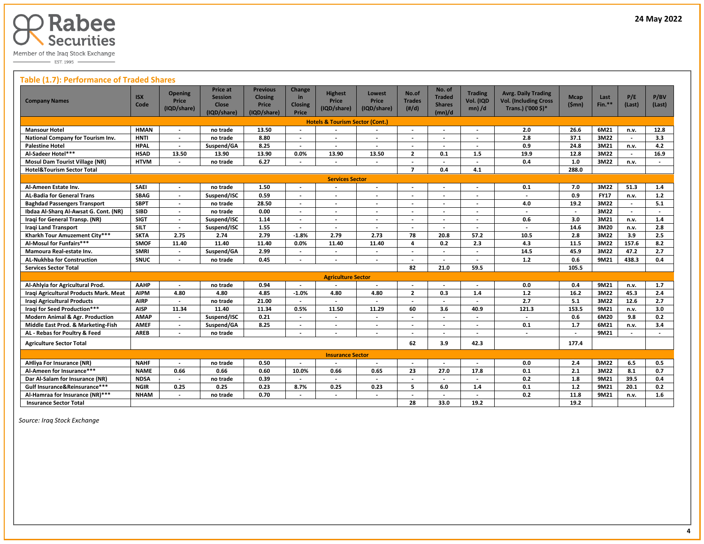

 $\overline{\phantom{0}}$  EST. 1995

## **Table (1.7): Performance of Traded Shares**

| <b>Company Names</b>                       | <b>ISX</b><br>Code | <b>Opening</b><br><b>Price</b><br>(IQD/share) | <b>Price at</b><br><b>Session</b><br>Close<br>(IQD/share) | <b>Previous</b><br><b>Closing</b><br>Price<br>(IQD/share) | Change<br>in<br><b>Closing</b><br>Price | <b>Highest</b><br>Price<br>(IQD/share)     | <b>Lowest</b><br><b>Price</b><br>(IQD/share) | No.of<br><b>Trades</b><br>$(\#/d)$ | No. of<br><b>Traded</b><br><b>Shares</b><br>(mn)/d | <b>Trading</b><br>Vol. (IQD<br>$mn)$ /d | <b>Avrg. Daily Trading</b><br><b>Vol. (Including Cross</b><br>Trans.) ('000 \$)* | <b>Mcap</b><br>(Smn)     | Last<br>$Fin.**$ | P/E<br>(Last)            | P/BV<br>(Last)           |
|--------------------------------------------|--------------------|-----------------------------------------------|-----------------------------------------------------------|-----------------------------------------------------------|-----------------------------------------|--------------------------------------------|----------------------------------------------|------------------------------------|----------------------------------------------------|-----------------------------------------|----------------------------------------------------------------------------------|--------------------------|------------------|--------------------------|--------------------------|
|                                            |                    |                                               |                                                           |                                                           |                                         | <b>Hotels &amp; Tourism Sector (Cont.)</b> |                                              |                                    |                                                    |                                         |                                                                                  |                          |                  |                          |                          |
| <b>Mansour Hotel</b>                       | <b>HMAN</b>        |                                               | no trade                                                  | 13.50                                                     |                                         |                                            |                                              |                                    |                                                    |                                         | 2.0                                                                              | 26.6                     | 6M21             | n.v.                     | 12.8                     |
| National Company for Tourism Inv.          | <b>HNTI</b>        | $\overline{\phantom{a}}$                      | no trade                                                  | 8.80                                                      | $\overline{\phantom{a}}$                |                                            | $\overline{\phantom{a}}$                     |                                    | $\overline{\phantom{a}}$                           | $\overline{\phantom{a}}$                | 2.8                                                                              | 37.1                     | 3M22             | $\overline{\phantom{a}}$ | 3.3                      |
| <b>Palestine Hotel</b>                     | <b>HPAL</b>        | $\overline{\phantom{a}}$                      | Suspend/GA                                                | 8.25                                                      | $\overline{\phantom{a}}$                | $\overline{\phantom{a}}$                   | $\overline{\phantom{a}}$                     | $\overline{\phantom{a}}$           | $\overline{\phantom{0}}$                           | $\overline{\phantom{a}}$                | 0.9                                                                              | 24.8                     | 3M21             | n.v.                     | 4.2                      |
| Al-Sadeer Hotel***                         | <b>HSAD</b>        | 13.50                                         | 13.90                                                     | 13.90                                                     | 0.0%                                    | 13.90                                      | 13.50                                        | $\overline{2}$                     | 0.1                                                | 1.5                                     | 19.9                                                                             | 12.8                     | 3M22             |                          | 16.9                     |
| <b>Mosul Dam Tourist Village (NR)</b>      | <b>HTVM</b>        |                                               | no trade                                                  | 6.27                                                      |                                         |                                            |                                              | $\overline{\phantom{a}}$           |                                                    |                                         | 0.4                                                                              | 1.0                      | 3M22             | n.v.                     |                          |
| <b>Hotel&amp;Tourism Sector Total</b>      |                    |                                               |                                                           |                                                           |                                         |                                            |                                              | $\overline{ }$                     | 0.4                                                | 4.1                                     |                                                                                  | 288.0                    |                  |                          |                          |
| <b>Services Sector</b>                     |                    |                                               |                                                           |                                                           |                                         |                                            |                                              |                                    |                                                    |                                         |                                                                                  |                          |                  |                          |                          |
| Al-Ameen Estate Inv.                       | <b>SAEI</b>        | $\overline{\phantom{a}}$                      | no trade                                                  | 1.50                                                      | $\overline{\phantom{a}}$                | $\overline{\phantom{a}}$                   | $\overline{\phantom{a}}$                     | $\overline{\phantom{a}}$           | $\overline{\phantom{a}}$                           | $\overline{\phantom{a}}$                | 0.1                                                                              | 7.0                      | 3M22             | 51.3                     | 1.4                      |
| <b>AL-Badia for General Trans</b>          | <b>SBAG</b>        | $\overline{\phantom{a}}$                      | Suspend/ISC                                               | 0.59                                                      |                                         |                                            | $\overline{a}$                               |                                    |                                                    |                                         | $\overline{a}$                                                                   | 0.9                      | <b>FY17</b>      | n.v.                     | $1.2$                    |
| <b>Baghdad Passengers Transport</b>        | <b>SBPT</b>        | $\overline{\phantom{a}}$                      | no trade                                                  | 28.50                                                     |                                         |                                            | $\overline{\phantom{a}}$                     |                                    |                                                    | $\overline{\phantom{a}}$                | 4.0                                                                              | 19.2                     | 3M22             |                          | 5.1                      |
| Ibdaa Al-Sharq Al-Awsat G. Cont. (NR)      | <b>SIBD</b>        | $\overline{\phantom{a}}$                      | no trade                                                  | 0.00                                                      | $\overline{\phantom{a}}$                | $\overline{\phantom{a}}$                   | $\overline{\phantom{a}}$                     | $\overline{\phantom{a}}$           | $\overline{\phantom{a}}$                           | $\overline{\phantom{a}}$                | $\overline{\phantom{a}}$                                                         | $\overline{a}$           | 3M22             | $\overline{\phantom{a}}$ | $\overline{\phantom{a}}$ |
| Iragi for General Transp. (NR)             | <b>SIGT</b>        | $\overline{\phantom{a}}$                      | Suspend/ISC                                               | 1.14                                                      | $\blacksquare$                          | $\overline{\phantom{a}}$                   | $\overline{\phantom{a}}$                     | $\overline{\phantom{a}}$           | $\overline{\phantom{a}}$                           | $\overline{\phantom{a}}$                | 0.6                                                                              | 3.0                      | 3M21             | n.v.                     | 1.4                      |
| <b>Iragi Land Transport</b>                | <b>SILT</b>        | $\overline{\phantom{a}}$                      | Suspend/ISC                                               | 1.55                                                      |                                         |                                            |                                              | $\overline{\phantom{a}}$           |                                                    |                                         | $\overline{\phantom{a}}$                                                         | 14.6                     | 3M20             | n.v.                     | 2.8                      |
| Kharkh Tour Amuzement City***              | <b>SKTA</b>        | 2.75                                          | 2.74                                                      | 2.79                                                      | $-1.8%$                                 | 2.79                                       | 2.73                                         | 78                                 | 20.8                                               | 57.2                                    | 10.5                                                                             | 2.8                      | 3M22             | 3.9                      | 2.5                      |
| Al-Mosul for Funfairs***                   | <b>SMOF</b>        | 11.40                                         | 11.40                                                     | 11.40                                                     | 0.0%                                    | 11.40                                      | 11.40                                        | 4                                  | 0.2                                                | 2.3                                     | 4.3                                                                              | 11.5                     | 3M22             | 157.6                    | 8.2                      |
| Mamoura Real-estate Inv.                   | <b>SMRI</b>        |                                               | Suspend/GA                                                | 2.99                                                      |                                         |                                            |                                              |                                    |                                                    |                                         | 14.5                                                                             | 45.9                     | 3M22             | 47.2                     | 2.7                      |
| <b>AL-Nukhba for Construction</b>          | SNUC               | $\overline{\phantom{a}}$                      | no trade                                                  | 0.45                                                      |                                         |                                            | $\overline{a}$                               |                                    | $\overline{\phantom{a}}$                           | $\overline{\phantom{a}}$                | 1.2                                                                              | 0.6                      | 9M21             | 438.3                    | 0.4                      |
| <b>Services Sector Total</b>               |                    |                                               |                                                           |                                                           |                                         |                                            |                                              | 82                                 | 21.0                                               | 59.5                                    |                                                                                  | 105.5                    |                  |                          |                          |
|                                            |                    |                                               |                                                           |                                                           |                                         | <b>Agriculture Sector</b>                  |                                              |                                    |                                                    |                                         |                                                                                  |                          |                  |                          |                          |
| Al-Ahlyia for Agricultural Prod.           | AAHP               | $\overline{\phantom{a}}$                      | no trade                                                  | 0.94                                                      |                                         |                                            | $\overline{\phantom{a}}$                     | $\overline{\phantom{a}}$           |                                                    |                                         | 0.0                                                                              | 0.4                      | 9M21             | n.v.                     | 1.7                      |
| Iraqi Agricultural Products Mark. Meat     | <b>AIPM</b>        | 4.80                                          | 4.80                                                      | 4.85                                                      | $-1.0%$                                 | 4.80                                       | 4.80                                         | $\overline{2}$                     | 0.3                                                | 1.4                                     | 1.2                                                                              | 16.2                     | 3M22             | 45.3                     | 2.4                      |
| <b>Iragi Agricultural Products</b>         | <b>AIRP</b>        |                                               | no trade                                                  | 21.00                                                     |                                         |                                            |                                              | $\overline{\phantom{a}}$           |                                                    |                                         | $\overline{2.7}$                                                                 | 5.1                      | 3M22             | 12.6                     | 2.7                      |
| Iraqi for Seed Production***               | <b>AISP</b>        | 11.34                                         | 11.40                                                     | 11.34                                                     | 0.5%                                    | 11.50                                      | 11.29                                        | 60                                 | 3.6                                                | 40.9                                    | 121.3                                                                            | 153.5                    | 9M21             | n.v.                     | 3.0                      |
| <b>Modern Animal &amp; Agr. Production</b> | <b>AMAP</b>        |                                               | Suspend/ISC                                               | 0.21                                                      |                                         |                                            |                                              |                                    |                                                    |                                         |                                                                                  | 0.6                      | 6M20             | 9.8                      | 0.2                      |
| Middle East Prod. & Marketing-Fish         | <b>AMEF</b>        |                                               | Suspend/GA                                                | 8.25                                                      |                                         |                                            |                                              |                                    |                                                    |                                         | 0.1                                                                              | 1.7                      | 6M21             | n.v.                     | 3.4                      |
| AL - Rebas for Poultry & Feed              | <b>AREB</b>        | $\overline{\phantom{a}}$                      | no trade                                                  |                                                           | $\overline{\phantom{a}}$                |                                            | $\overline{a}$                               |                                    | $\overline{\phantom{0}}$                           |                                         | $\overline{\phantom{a}}$                                                         | $\overline{\phantom{a}}$ | 9M21             |                          |                          |
| <b>Agriculture Sector Total</b>            |                    |                                               |                                                           |                                                           |                                         |                                            |                                              | 62                                 | 3.9                                                | 42.3                                    |                                                                                  | 177.4                    |                  |                          |                          |
|                                            |                    |                                               |                                                           |                                                           |                                         | <b>Insurance Sector</b>                    |                                              |                                    |                                                    |                                         |                                                                                  |                          |                  |                          |                          |
| <b>AHliya For Insurance (NR)</b>           | <b>NAHF</b>        | $\overline{a}$                                | no trade                                                  | 0.50                                                      | $\overline{\phantom{a}}$                | $\overline{\phantom{a}}$                   | $\overline{\phantom{a}}$                     | $\overline{\phantom{a}}$           |                                                    |                                         | 0.0                                                                              | 2.4                      | 3M22             | 6.5                      | 0.5                      |
| Al-Ameen for Insurance***                  | <b>NAME</b>        | 0.66                                          | 0.66                                                      | 0.60                                                      | 10.0%                                   | 0.66                                       | 0.65                                         | 23                                 | 27.0                                               | 17.8                                    | 0.1                                                                              | 2.1                      | 3M22             | 8.1                      | 0.7                      |
| Dar Al-Salam for Insurance (NR)            | <b>NDSA</b>        | $\overline{\phantom{a}}$                      | no trade                                                  | 0.39                                                      |                                         |                                            | $\overline{\phantom{a}}$                     | $\overline{\phantom{a}}$           |                                                    | $\overline{\phantom{a}}$                | 0.2                                                                              | 1.8                      | 9M21             | 39.5                     | 0.4                      |
| Gulf Insurance&Reinsurance***              | <b>NGIR</b>        | 0.25                                          | 0.25                                                      | 0.23                                                      | 8.7%                                    | 0.25                                       | 0.23                                         | 5                                  | 6.0                                                | 1.4                                     | 0.1                                                                              | $1.2$                    | 9M21             | 20.1                     | 0.2                      |
| Al-Hamraa for Insurance (NR)***            | <b>NHAM</b>        |                                               | no trade                                                  | 0.70                                                      |                                         |                                            |                                              |                                    |                                                    |                                         | 0.2                                                                              | 11.8                     | 9M21             | n.v.                     | 1.6                      |
| <b>Insurance Sector Total</b>              |                    |                                               |                                                           |                                                           |                                         |                                            |                                              | 28                                 | 33.0                                               | 19.2                                    |                                                                                  | 19.2                     |                  |                          |                          |

 *Source: Iraq Stock Exchange*

 $\overline{a}$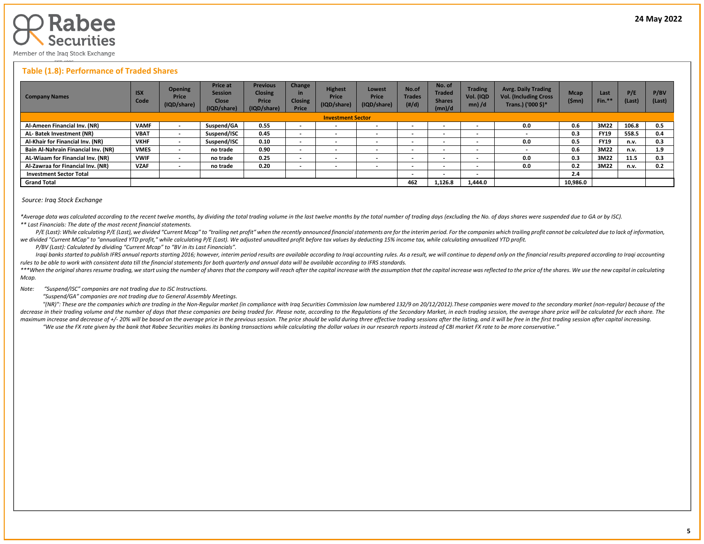

## **Table (1.8): Performance of Traded Shares**

| <b>Company Names</b>                | <b>ISX</b><br>Code | <b>Opening</b><br>Price<br>(IQD/share) | <b>Price at</b><br><b>Session</b><br><b>Close</b><br>(IQD/share) | <b>Previous</b><br><b>Closing</b><br>Price<br>(IQD/share) | Change<br>in<br><b>Closing</b><br>Price | <b>Highest</b><br>Price<br>(IQD/share) | Lowest<br>Price<br>(IQD/share) | No.of<br><b>Trades</b><br>(H/d) | No. of<br><b>Traded</b><br><b>Shares</b><br>(mn)/d | <b>Trading</b><br>Vol. (IQD<br>$mn)$ /d | <b>Avrg. Daily Trading</b><br><b>Vol. (Including Cross</b><br>Trans.) ('000 \$)* | <b>Mcap</b><br>(\$mn) | Last<br>Fin. <sup>*</sup> | P/E<br>(Last) | P/BV<br>(Last) |
|-------------------------------------|--------------------|----------------------------------------|------------------------------------------------------------------|-----------------------------------------------------------|-----------------------------------------|----------------------------------------|--------------------------------|---------------------------------|----------------------------------------------------|-----------------------------------------|----------------------------------------------------------------------------------|-----------------------|---------------------------|---------------|----------------|
| <b>Investment Sector</b>            |                    |                                        |                                                                  |                                                           |                                         |                                        |                                |                                 |                                                    |                                         |                                                                                  |                       |                           |               |                |
| Al-Ameen Financial Inv. (NR)        | <b>VAMF</b>        |                                        | Suspend/GA                                                       | 0.55                                                      | $\sim$                                  | $\overline{\phantom{a}}$               |                                |                                 | $\overline{\phantom{0}}$                           | $\overline{\phantom{0}}$                | 0.0                                                                              | 0.6                   | 3M22                      | 106.8         | 0.5            |
| AL-Batek Investment (NR)            | <b>VBAT</b>        | $\,$                                   | Suspend/ISC                                                      | 0.45                                                      | $\sim$                                  | $\overline{\phantom{a}}$               | <b>.</b>                       |                                 | $\overline{\phantom{0}}$                           | $\overline{\phantom{0}}$                |                                                                                  | 0.3                   | <b>FY19</b>               | 558.5         | 0.4            |
| Al-Khair for Financial Inv. (NR)    | <b>VKHF</b>        | $\overline{\phantom{a}}$               | Suspend/ISC                                                      | 0.10                                                      | $\overline{\phantom{a}}$                | $\overline{\phantom{a}}$               |                                | $\overline{\phantom{a}}$        | $\overline{\phantom{0}}$                           | $\overline{\phantom{0}}$                | 0.0                                                                              | 0.5                   | <b>FY19</b>               | n.v.          | 0.3            |
| Bain Al-Nahrain Financial Inv. (NR) | <b>VMES</b>        |                                        | no trade                                                         | 0.90                                                      | $\sim$                                  | $\overline{\phantom{a}}$               | $\overline{\phantom{a}}$       | $\overline{\phantom{a}}$        | $\overline{\phantom{0}}$                           | $\overline{\phantom{0}}$                |                                                                                  | 0.6                   | 3M22                      | n.v.          | 1.9            |
| AL-Wiaam for Financial Inv. (NR)    | <b>VWIF</b>        | $\,$                                   | no trade                                                         | 0.25                                                      | $\sim$                                  | $\overline{\phantom{a}}$               |                                |                                 | $\overline{\phantom{0}}$                           | $\overline{\phantom{0}}$                | 0.0                                                                              | 0.3                   | 3M22                      | 11.5          | 0.3            |
| Al-Zawraa for Financial Inv. (NR)   | <b>VZAF</b>        | $\,$                                   | no trade                                                         | 0.20                                                      | $\overline{\phantom{a}}$                | $\overline{\phantom{a}}$               |                                |                                 | $\overline{\phantom{0}}$                           | $\overline{\phantom{0}}$                | 0.0                                                                              | 0.2                   | 3M22                      | n.v.          | 0.2            |
| <b>Investment Sector Total</b>      |                    |                                        |                                                                  |                                                           |                                         |                                        |                                | $\overline{\phantom{a}}$        | $\overline{\phantom{0}}$                           | $\overline{\phantom{0}}$                |                                                                                  | 2.4                   |                           |               |                |
| <b>Grand Total</b>                  |                    |                                        |                                                                  |                                                           |                                         |                                        |                                |                                 | 1.126.8                                            | 1.444.0                                 |                                                                                  | 10,986.0              |                           |               |                |

#### *Source: Iraq Stock Exchange*

\*Average data was calculated according to the recent twelve months, by dividing the total trading volume in the last twelve months by the total number of trading days (excluding the No. of days shares were suspended due to *\*\* Last Financials: The date of the most recent financial statements.* 

P/E (Last): While calculating P/E (Last), we divided "Current Mcap" to "trailing net profit" when the recently announced financial statements are for the interim period. For the companies which trailing profit cannot be ca *we divided "Current MCap" to "annualized YTD profit," while calculating P/E (Last). We adjusted unaudited profit before tax values by deducting 15% income tax, while calculating annualized YTD profit.*

 *P/BV (Last): Calculated by dividing "Current Mcap" to "BV in its Last Financials".*

Iraqi banks started to publish IFRS annual reports starting 2016; however, interim period results are available according to Iraqi accounting rules. As a result, we will continue to depend only on the financial results pre *rules to be able to work with consistent data till the financial statements for both quarterly and annual data will be available according to IFRS standards.* 

\*\*\*When the original shares resume trading, we start using the number of shares that the company will reach after the capital increase with the assumption that the capital increase was reflected to the price of the shares. *Mcap.*

*Note: "Suspend/ISC" companies are not trading due to ISC Instructions.*

 *"Suspend/GA" companies are not trading due to General Assembly Meetings.*

"(NR)": These are the companies which are trading in the Non-Regular market (in compliance with Iraq Securities Commission law numbered 132/9 on 20/12/2012). These companies were moved to the secondary market (non-regular) decrease in their trading volume and the number of days that these companies are being traded for. Please note, according to the Regulations of the Secondary Market, in each trading session, the average share price will be maximum increase and decrease of +/- 20% will be based on the average price in the previous session. The price should be valid during three effective trading sessions after the listing, and it will be free in the first tra "We use the FX rate given by the bank that Rabee Securities makes its banking transactions while calculating the dollar values in our research reports instead of CBI market FX rate to be more conservative."